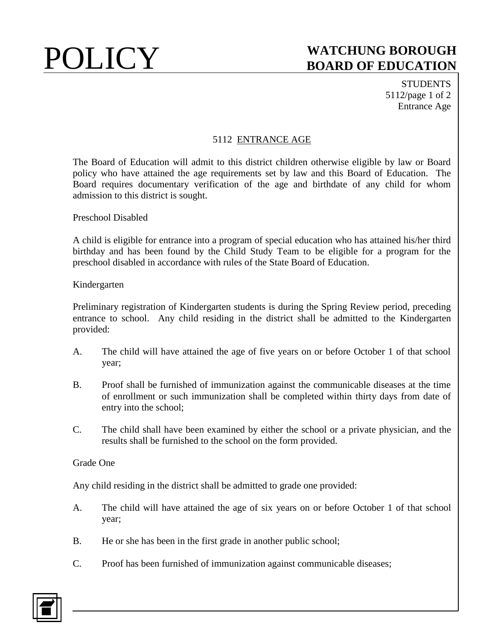# POLICY **WATCHUNG BOROUGH BOARD OF EDUCATION**

**STUDENTS** 5112/page 1 of 2 Entrance Age

## 5112 ENTRANCE AGE

The Board of Education will admit to this district children otherwise eligible by law or Board policy who have attained the age requirements set by law and this Board of Education. The Board requires documentary verification of the age and birthdate of any child for whom admission to this district is sought.

Preschool Disabled

A child is eligible for entrance into a program of special education who has attained his/her third birthday and has been found by the Child Study Team to be eligible for a program for the preschool disabled in accordance with rules of the State Board of Education.

### Kindergarten

Preliminary registration of Kindergarten students is during the Spring Review period, preceding entrance to school. Any child residing in the district shall be admitted to the Kindergarten provided:

- A. The child will have attained the age of five years on or before October 1 of that school year;
- B. Proof shall be furnished of immunization against the communicable diseases at the time of enrollment or such immunization shall be completed within thirty days from date of entry into the school;
- C. The child shall have been examined by either the school or a private physician, and the results shall be furnished to the school on the form provided.

### Grade One

Any child residing in the district shall be admitted to grade one provided:

- A. The child will have attained the age of six years on or before October 1 of that school year;
- B. He or she has been in the first grade in another public school;
- C. Proof has been furnished of immunization against communicable diseases;